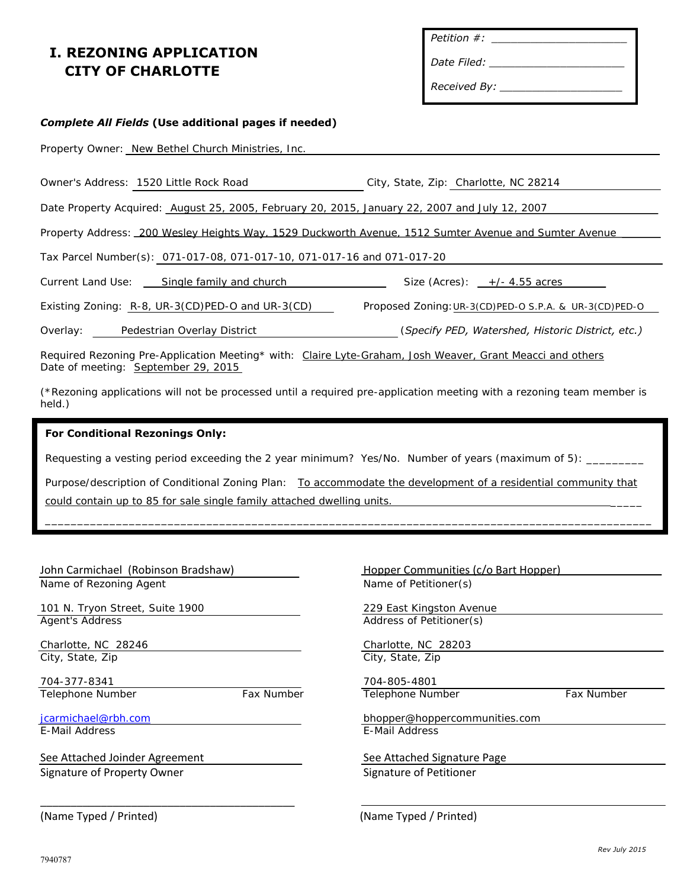## **I. REZONING APPLICATION CITY OF CHARLOTTE**

| Petition #: |  |
|-------------|--|
|-------------|--|

*Date Filed: \_\_\_\_\_\_\_\_\_\_\_\_\_\_\_\_\_\_\_\_\_*

*Received By: \_\_\_\_\_\_\_\_\_\_\_\_\_\_\_\_\_\_\_*

# *Complete All Fields* **(Use additional pages if needed)** Property Owner: New Bethel Church Ministries, Inc. Owner's Address: 1520 Little Rock Road City, State, Zip: Charlotte, NC 28214 Date Property Acquired: August 25, 2005, February 20, 2015, January 22, 2007 and July 12, 2007 Property Address: 200 Wesley Heights Way, 1529 Duckworth Avenue, 1512 Sumter Avenue and Sumter Avenue Tax Parcel Number(s): 071-017-08, 071-017-10, 071-017-16 and 071-017-20 Current Land Use: Single family and church Size (Acres): +/- 4.55 acres Existing Zoning: R-8, UR-3(CD)PED-O and UR-3(CD) Proposed Zoning: UR-3(CD)PED-O S.P.A. & UR-3(CD)PED-O Overlay: Pedestrian Overlay District (*Specify PED, Watershed, Historic District, etc.)*  Required Rezoning Pre-Application Meeting\* with: Claire Lyte-Graham, Josh Weaver, Grant Meacci and others Date of meeting: September 29, 2015 (\*Rezoning applications will not be processed until a required pre-application meeting with a rezoning team member is

## **For Conditional Rezonings Only:**

Requesting a vesting period exceeding the 2 year minimum? Yes/No. Number of years (maximum of 5):

Purpose/description of Conditional Zoning Plan: To accommodate the development of a residential community that could contain up to 85 for sale single family attached dwelling units.

\_\_\_\_\_\_\_\_\_\_\_\_\_\_\_\_\_\_\_\_\_\_\_\_\_\_\_\_\_\_\_\_\_\_\_\_\_\_\_\_\_\_\_\_\_\_\_\_\_\_\_\_\_\_\_\_\_\_\_\_\_\_\_\_\_\_\_\_\_\_\_\_\_\_\_\_\_\_\_\_\_\_\_\_\_\_\_\_\_\_\_\_\_\_

#### John Carmichael (Robinson Bradshaw) The Hopper Communities (c/o Bart Hopper)

Name of Rezoning Agent Name of Petitioner(s)

held.)

101 N. Tryon Street, Suite 1900 229 East Kingston Avenue Agent's Address **Address Address Address of Petitioner(s)** 

Charlotte, NC 28246 Charlotte, NC 28203 City, State, Zip City, State, Zip

704-377-8341 704-805-4801 Telephone Number Fax Number Telephone Number Fax Number

E-Mail Address **E-Mail Address** E-Mail Address

See Attached Joinder Agreement See Attached Signature Page Signature of Property Owner Signature of Petitioner Signature of Petitioner

\_\_\_\_\_\_\_\_\_\_\_\_\_\_\_\_\_\_\_\_\_\_\_\_\_\_\_\_\_\_\_\_\_\_\_\_\_\_\_\_\_\_

jcarmichael@rbh.com bhopper@hoppercommunities.com

(Name Typed / Printed) (Name Typed / Printed)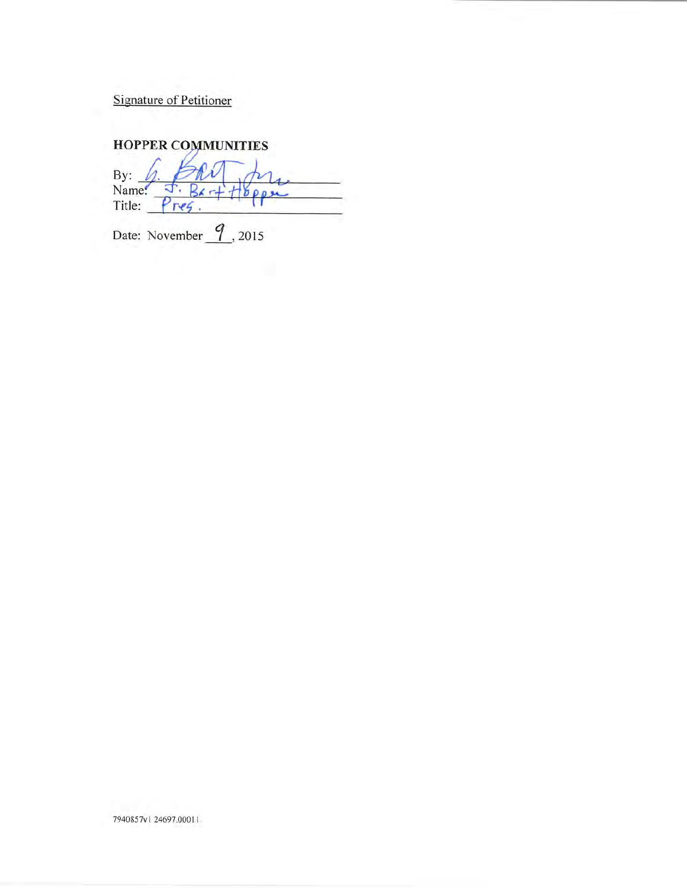**Signature of Petitioner** 

# **HOPPER COMMUNITIES**

By: ক.  $R_{K}$ Title:  $Pre<sub>5</sub>$ .

Date: November  $\frac{q}{1}$ , 2015

7940857v1 24697.00011